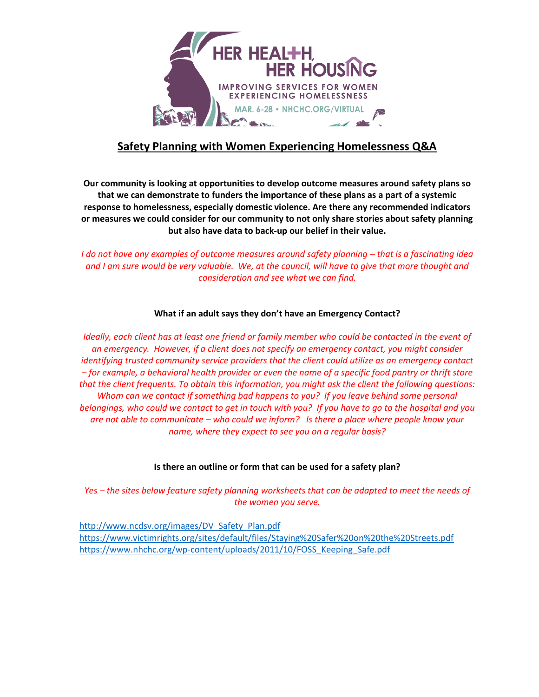

# **Safety Planning with Women Experiencing Homelessness Q&A**

**Our community is looking at opportunities to develop outcome measures around safety plans so that we can demonstrate to funders the importance of these plans as a part of a systemic response to homelessness, especially domestic violence. Are there any recommended indicators or measures we could consider for our community to not only share stories about safety planning but also have data to back-up our belief in their value.**

*I* do not have any examples of outcome measures around safety planning – that is a fascinating idea *and I am sure would be very valuable. We, at the council, will have to give that more thought and consideration and see what we can find.*

### **What if an adult says they don't have an Emergency Contact?**

*Ideally, each client has at least one friend or family member who could be contacted in the event of an emergency. However, if a client does not specify an emergency contact, you might consider identifying trusted community service providers that the client could utilize as an emergency contact – for example, a behavioral health provider or even the name of a specific food pantry or thrift store that the client frequents. To obtain this information, you might ask the client the following questions: Whom can we contact if something bad happens to you? If you leave behind some personal belongings, who could we contact to get in touch with you? If you have to go to the hospital and you are not able to communicate – who could we inform? Is there a place where people know your name, where they expect to see you on a regular basis?*

## **Is there an outline or form that can be used for a safety plan?**

*Yes – the sites below feature safety planning worksheets that can be adapted to meet the needs of the women you serve.*

[http://www.ncdsv.org/images/DV\\_Safety\\_Plan.pdf](http://www.ncdsv.org/images/DV_Safety_Plan.pdf) <https://www.victimrights.org/sites/default/files/Staying%20Safer%20on%20the%20Streets.pdf> [https://www.nhchc.org/wp-content/uploads/2011/10/FOSS\\_Keeping\\_Safe.pdf](https://www.nhchc.org/wp-content/uploads/2011/10/FOSS_Keeping_Safe.pdf)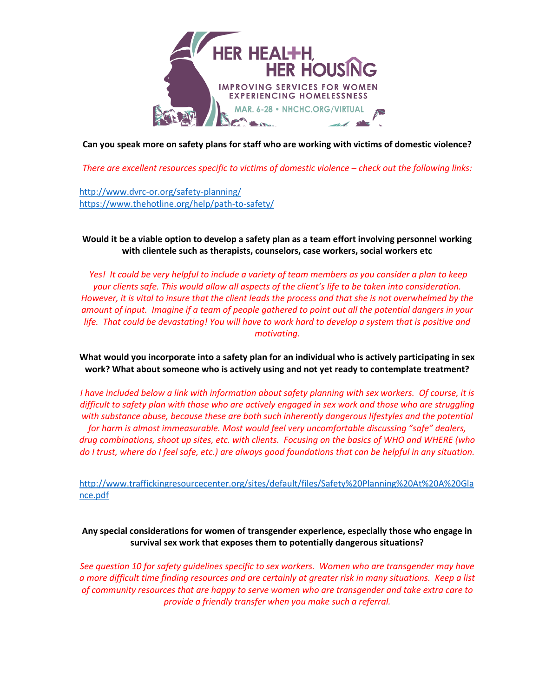

**Can you speak more on safety plans for staff who are working with victims of domestic violence?**

*There are excellent resources specific to victims of domestic violence – check out the following links:*

<http://www.dvrc-or.org/safety-planning/> <https://www.thehotline.org/help/path-to-safety/>

**Would it be a viable option to develop a safety plan as a team effort involving personnel working with clientele such as therapists, counselors, case workers, social workers etc** 

*Yes! It could be very helpful to include a variety of team members as you consider a plan to keep your clients safe. This would allow all aspects of the client's life to be taken into consideration. However, it is vital to insure that the client leads the process and that she is not overwhelmed by the amount of input. Imagine if a team of people gathered to point out all the potential dangers in your life. That could be devastating! You will have to work hard to develop a system that is positive and motivating.*

**What would you incorporate into a safety plan for an individual who is actively participating in sex work? What about someone who is actively using and not yet ready to contemplate treatment?**

*I have included below a link with information about safety planning with sex workers. Of course, it is difficult to safety plan with those who are actively engaged in sex work and those who are struggling with substance abuse, because these are both such inherently dangerous lifestyles and the potential for harm is almost immeasurable. Most would feel very uncomfortable discussing "safe" dealers, drug combinations, shoot up sites, etc. with clients. Focusing on the basics of WHO and WHERE (who do I trust, where do I feel safe, etc.) are always good foundations that can be helpful in any situation.*

[http://www.traffickingresourcecenter.org/sites/default/files/Safety%20Planning%20At%20A%20Gla](http://www.traffickingresourcecenter.org/sites/default/files/Safety%20Planning%20At%20A%20Glance.pdf) [nce.pdf](http://www.traffickingresourcecenter.org/sites/default/files/Safety%20Planning%20At%20A%20Glance.pdf)

**Any special considerations for women of transgender experience, especially those who engage in survival sex work that exposes them to potentially dangerous situations?**

*See question 10 for safety guidelines specific to sex workers. Women who are transgender may have a more difficult time finding resources and are certainly at greater risk in many situations. Keep a list of community resources that are happy to serve women who are transgender and take extra care to provide a friendly transfer when you make such a referral.*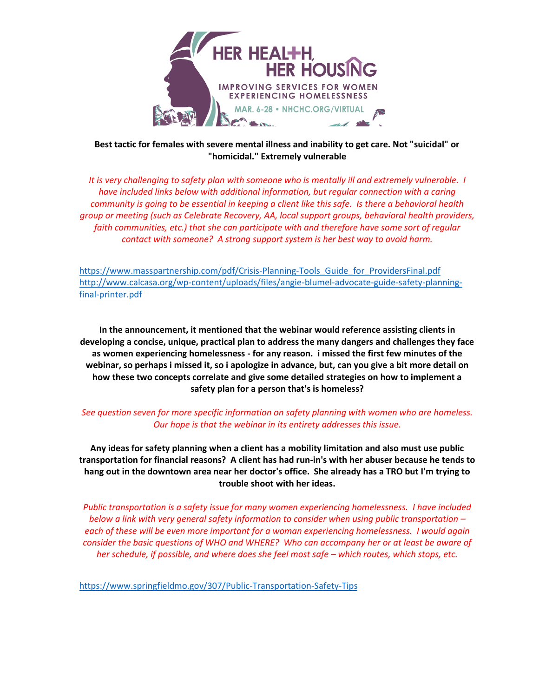

**Best tactic for females with severe mental illness and inability to get care. Not "suicidal" or "homicidal." Extremely vulnerable** 

*It is very challenging to safety plan with someone who is mentally ill and extremely vulnerable. I have included links below with additional information, but regular connection with a caring community is going to be essential in keeping a client like this safe. Is there a behavioral health group or meeting (such as Celebrate Recovery, AA, local support groups, behavioral health providers,*  faith communities, etc.) that she can participate with and therefore have some sort of regular *contact with someone? A strong support system is her best way to avoid harm.*

[https://www.masspartnership.com/pdf/Crisis-Planning-Tools\\_Guide\\_for\\_ProvidersFinal.pdf](https://www.masspartnership.com/pdf/Crisis-Planning-Tools_Guide_for_ProvidersFinal.pdf) [http://www.calcasa.org/wp-content/uploads/files/angie-blumel-advocate-guide-safety-planning](http://www.calcasa.org/wp-content/uploads/files/angie-blumel-advocate-guide-safety-planning-final-printer.pdf)[final-printer.pdf](http://www.calcasa.org/wp-content/uploads/files/angie-blumel-advocate-guide-safety-planning-final-printer.pdf)

**In the announcement, it mentioned that the webinar would reference assisting clients in developing a concise, unique, practical plan to address the many dangers and challenges they face as women experiencing homelessness - for any reason. i missed the first few minutes of the webinar, so perhaps i missed it, so i apologize in advance, but, can you give a bit more detail on how these two concepts correlate and give some detailed strategies on how to implement a safety plan for a person that's is homeless?** 

### *See question seven for more specific information on safety planning with women who are homeless. Our hope is that the webinar in its entirety addresses this issue.*

**Any ideas for safety planning when a client has a mobility limitation and also must use public transportation for financial reasons? A client has had run-in's with her abuser because he tends to hang out in the downtown area near her doctor's office. She already has a TRO but I'm trying to trouble shoot with her ideas.** 

*Public transportation is a safety issue for many women experiencing homelessness. I have included below a link with very general safety information to consider when using public transportation – each of these will be even more important for a woman experiencing homelessness. I would again consider the basic questions of WHO and WHERE? Who can accompany her or at least be aware of her schedule, if possible, and where does she feel most safe – which routes, which stops, etc.* 

<https://www.springfieldmo.gov/307/Public-Transportation-Safety-Tips>